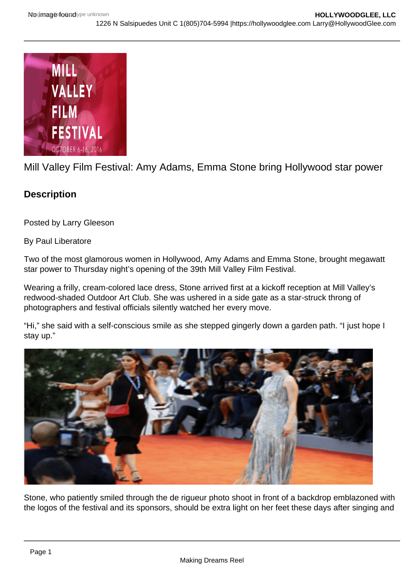

Mill Valley Film Festival: Amy Adams, Emma Stone bring Hollywood star power

## **Description**

Posted by Larry Gleeson

By Paul Liberatore

Two of the most glamorous women in Hollywood, Amy Adams and Emma Stone, brought megawatt star power to Thursday night's opening of the 39th Mill Valley Film Festival.

Wearing a frilly, cream-colored lace dress, Stone arrived first at a kickoff reception at Mill Valley's redwood-shaded Outdoor Art Club. She was ushered in a side gate as a star-struck throng of photographers and festival officials silently watched her every move.

"Hi," she said with a self-conscious smile as she stepped gingerly down a garden path. "I just hope I stay up."



Stone, who patiently smiled through the de rigueur photo shoot in front of a backdrop emblazoned with the logos of the festival and its sponsors, should be extra light on her feet these days after singing and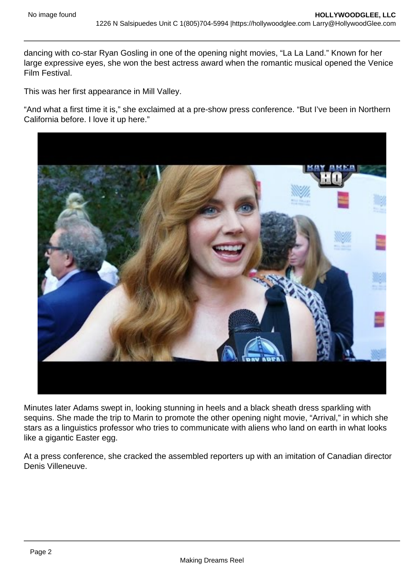dancing with co-star Ryan Gosling in one of the opening night movies, "La La Land." Known for her large expressive eyes, she won the best actress award when the romantic musical opened the Venice Film Festival.

This was her first appearance in Mill Valley.

"And what a first time it is," she exclaimed at a pre-show press conference. "But I've been in Northern California before. I love it up here."

Minutes later Adams swept in, looking stunning in heels and a black sheath dress sparkling with sequins. She made the trip to Marin to promote the other opening night movie, "Arrival," in which she stars as a linguistics professor who tries to communicate with aliens who land on earth in what looks like a gigantic Easter egg.

At a press conference, she cracked the assembled reporters up with an imitation of Canadian director Denis Villeneuve.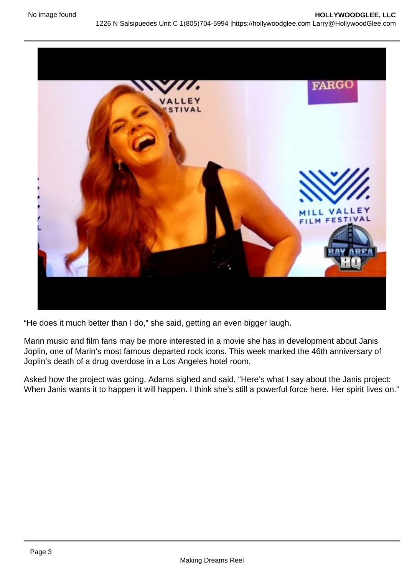"He does it much better than I do," she said, getting an even bigger laugh.

Marin music and film fans may be more interested in a movie she has in development about Janis Joplin, one of Marin's most famous departed rock icons. This week marked the 46th anniversary of Joplin's death of a drug overdose in a Los Angeles hotel room.

Asked how the project was going, Adams sighed and said, "Here's what I say about the Janis project: When Janis wants it to happen it will happen. I think she's still a powerful force here. Her spirit lives on."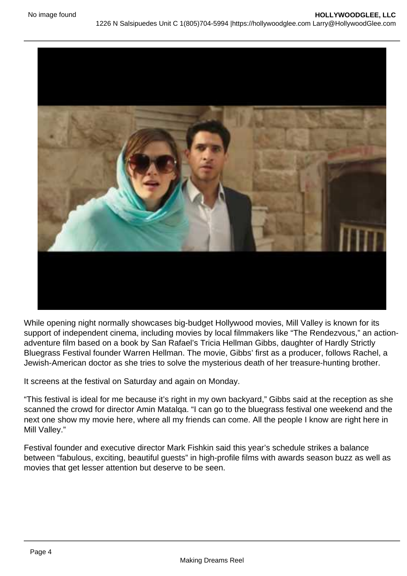While opening night normally showcases big-budget Hollywood movies, Mill Valley is known for its support of independent cinema, including movies by local filmmakers like "The Rendezvous," an actionadventure film based on a book by San Rafael's Tricia Hellman Gibbs, daughter of Hardly Strictly Bluegrass Festival founder Warren Hellman. The movie, Gibbs' first as a producer, follows Rachel, a Jewish-American doctor as she tries to solve the mysterious death of her treasure-hunting brother.

It screens at the festival on Saturday and again on Monday.

"This festival is ideal for me because it's right in my own backyard," Gibbs said at the reception as she scanned the crowd for director Amin Matalqa. "I can go to the bluegrass festival one weekend and the next one show my movie here, where all my friends can come. All the people I know are right here in Mill Valley."

Festival founder and executive director Mark Fishkin said this year's schedule strikes a balance between "fabulous, exciting, beautiful guests" in high-profile films with awards season buzz as well as movies that get lesser attention but deserve to be seen.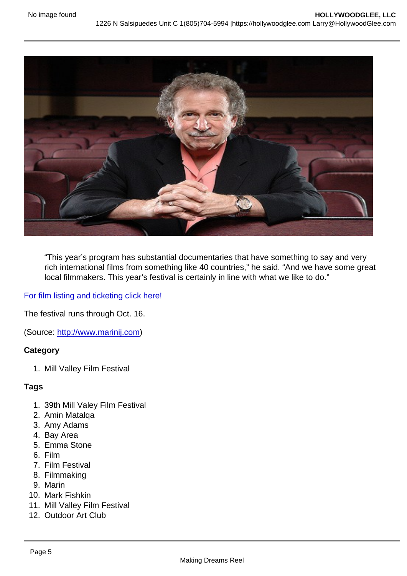"This year's program has substantial documentaries that have something to say and very rich international films from something like 40 countries," he said. "And we have some great local filmmakers. This year's festival is certainly in line with what we like to do."

[For film listing and ticketing click here!](http://tickets.cafilm.org/websales/pages/list.aspx?epguid=c6b17b06-9289-4456-9ea8-48c16255c85d)

The festival runs through Oct. 16.

(Source: <http://www.marinij.com>)

**Category** 

1. Mill Valley Film Festival

## Tags

- 1. 39th Mill Valey Film Festival
- 2. Amin Matalqa
- 3. Amy Adams
- 4. Bay Area
- 5. Emma Stone
- 6. Film
- 7. Film Festival
- 8. Filmmaking
- 9. Marin
- 10. Mark Fishkin
- 11. Mill Valley Film Festival
- 12. Outdoor Art Club